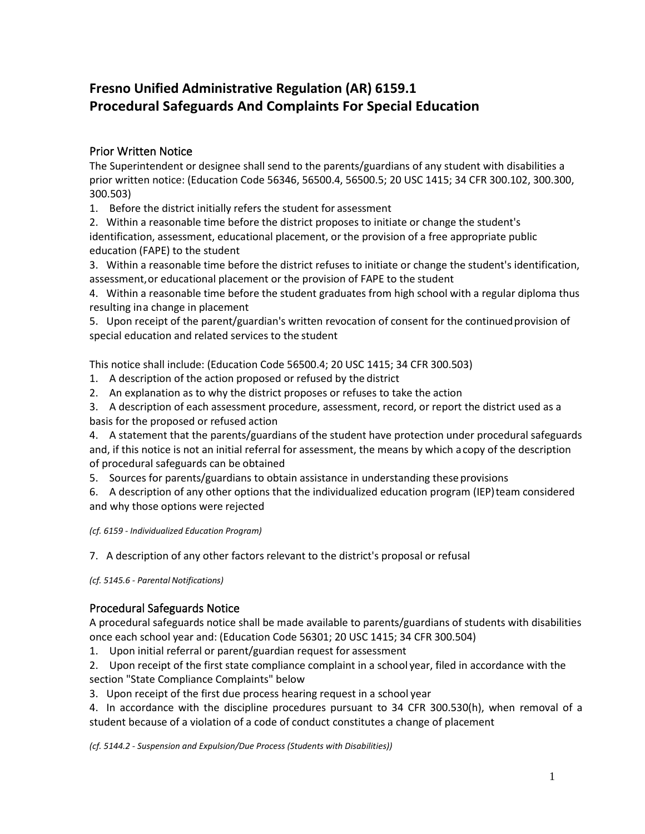# **Fresno Unified Administrative Regulation (AR) 6159.1 Procedural Safeguards And Complaints For Special Education**

# Prior Written Notice

The Superintendent or designee shall send to the parents/guardians of any student with disabilities a prior written notice: (Education Code 56346, 56500.4, 56500.5; 20 USC 1415; 34 CFR 300.102, 300.300, 300.503)

1. Before the district initially refers the student for assessment

2. Within a reasonable time before the district proposes to initiate or change the student's identification, assessment, educational placement, or the provision of a free appropriate public education (FAPE) to the student

3. Within a reasonable time before the district refuses to initiate or change the student's identification, assessment,or educational placement or the provision of FAPE to the student

4. Within a reasonable time before the student graduates from high school with a regular diploma thus resulting ina change in placement

5. Upon receipt of the parent/guardian's written revocation of consent for the continuedprovision of special education and related services to the student

This notice shall include: (Education Code 56500.4; 20 USC 1415; 34 CFR 300.503)

- 1. A description of the action proposed or refused by the district
- 2. An explanation as to why the district proposes or refuses to take the action
- 3. A description of each assessment procedure, assessment, record, or report the district used as a basis for the proposed or refused action

4. A statement that the parents/guardians of the student have protection under procedural safeguards and, if this notice is not an initial referral for assessment, the means by which acopy of the description of procedural safeguards can be obtained

5. Sources for parents/guardians to obtain assistance in understanding theseprovisions

6. A description of any other options that the individualized education program (IEP)team considered and why those options were rejected

*(cf. 6159 - Individualized Education Program)*

7. A description of any other factors relevant to the district's proposal or refusal

*(cf. 5145.6 - Parental Notifications)*

## Procedural Safeguards Notice

A procedural safeguards notice shall be made available to parents/guardians of students with disabilities once each school year and: (Education Code 56301; 20 USC 1415; 34 CFR 300.504)

- 1. Upon initial referral or parent/guardian request for assessment
- 2. Upon receipt of the first state compliance complaint in a school year, filed in accordance with the section "State Compliance Complaints" below
- 3. Upon receipt of the first due process hearing request in a school year

4. In accordance with the discipline procedures pursuant to 34 CFR 300.530(h), when removal of a student because of a violation of a code of conduct constitutes a change of placement

*(cf. 5144.2 - Suspension and Expulsion/Due Process (Students with Disabilities))*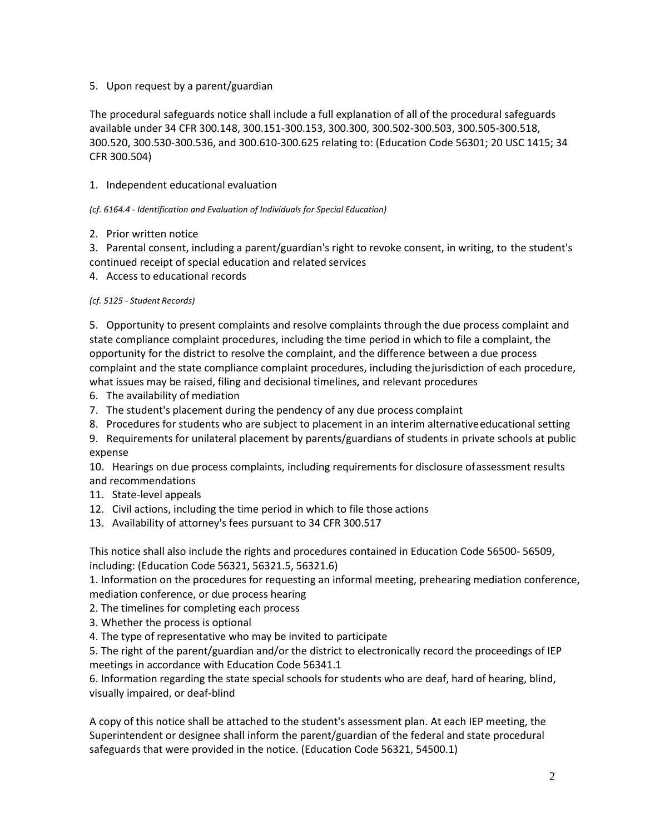#### 5. Upon request by a parent/guardian

The procedural safeguards notice shall include a full explanation of all of the procedural safeguards available under 34 CFR 300.148, 300.151-300.153, 300.300, 300.502-300.503, 300.505-300.518, 300.520, 300.530-300.536, and 300.610-300.625 relating to: (Education Code 56301; 20 USC 1415; 34 CFR 300.504)

### 1. Independent educational evaluation

#### *(cf. 6164.4 - Identification and Evaluation of Individuals for Special Education)*

#### 2. Prior written notice

3. Parental consent, including a parent/guardian's right to revoke consent, in writing, to the student's continued receipt of special education and related services

4. Access to educational records

#### *(cf. 5125 - Student Records)*

5. Opportunity to present complaints and resolve complaints through the due process complaint and state compliance complaint procedures, including the time period in which to file a complaint, the opportunity for the district to resolve the complaint, and the difference between a due process complaint and the state compliance complaint procedures, including thejurisdiction of each procedure, what issues may be raised, filing and decisional timelines, and relevant procedures

- 6. The availability of mediation
- 7. The student's placement during the pendency of any due process complaint
- 8. Procedures for students who are subject to placement in an interim alternativeeducational setting
- 9. Requirements for unilateral placement by parents/guardians of students in private schools at public expense

10. Hearings on due process complaints, including requirements for disclosure ofassessment results and recommendations

- 11. State-level appeals
- 12. Civil actions, including the time period in which to file those actions
- 13. Availability of attorney's fees pursuant to 34 CFR 300.517

This notice shall also include the rights and procedures contained in Education Code 56500- 56509, including: (Education Code 56321, 56321.5, 56321.6)

1. Information on the procedures for requesting an informal meeting, prehearing mediation conference, mediation conference, or due process hearing

- 2. The timelines for completing each process
- 3. Whether the process is optional
- 4. The type of representative who may be invited to participate

5. The right of the parent/guardian and/or the district to electronically record the proceedings of IEP meetings in accordance with Education Code 56341.1

6. Information regarding the state special schools for students who are deaf, hard of hearing, blind, visually impaired, or deaf-blind

A copy of this notice shall be attached to the student's assessment plan. At each IEP meeting, the Superintendent or designee shall inform the parent/guardian of the federal and state procedural safeguards that were provided in the notice. (Education Code 56321, 54500.1)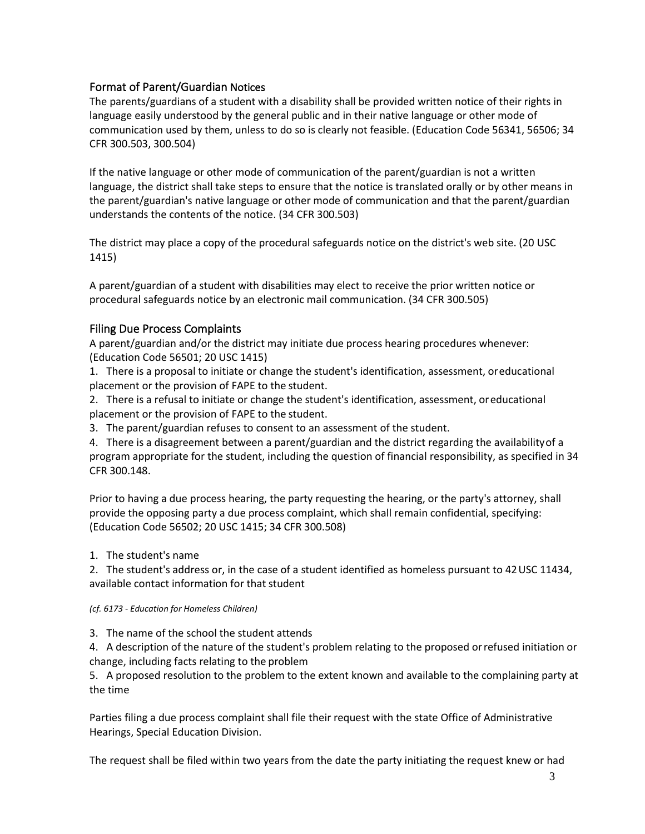## Format of Parent/Guardian Notices

The parents/guardians of a student with a disability shall be provided written notice of their rights in language easily understood by the general public and in their native language or other mode of communication used by them, unless to do so is clearly not feasible. (Education Code 56341, 56506; 34 CFR 300.503, 300.504)

If the native language or other mode of communication of the parent/guardian is not a written language, the district shall take steps to ensure that the notice is translated orally or by other means in the parent/guardian's native language or other mode of communication and that the parent/guardian understands the contents of the notice. (34 CFR 300.503)

The district may place a copy of the procedural safeguards notice on the district's web site. (20 USC 1415)

A parent/guardian of a student with disabilities may elect to receive the prior written notice or procedural safeguards notice by an electronic mail communication. (34 CFR 300.505)

## Filing Due Process Complaints

A parent/guardian and/or the district may initiate due process hearing procedures whenever: (Education Code 56501; 20 USC 1415)

1. There is a proposal to initiate or change the student's identification, assessment, oreducational placement or the provision of FAPE to the student.

2. There is a refusal to initiate or change the student's identification, assessment, oreducational placement or the provision of FAPE to the student.

3. The parent/guardian refuses to consent to an assessment of the student.

4. There is a disagreement between a parent/guardian and the district regarding the availabilityof a program appropriate for the student, including the question of financial responsibility, as specified in 34 CFR 300.148.

Prior to having a due process hearing, the party requesting the hearing, or the party's attorney, shall provide the opposing party a due process complaint, which shall remain confidential, specifying: (Education Code 56502; 20 USC 1415; 34 CFR 300.508)

1. The student's name

2. The student's address or, in the case of a student identified as homeless pursuant to 42USC 11434, available contact information for that student

#### *(cf. 6173 - Education for Homeless Children)*

3. The name of the school the student attends

4. A description of the nature of the student's problem relating to the proposed orrefused initiation or change, including facts relating to the problem

5. A proposed resolution to the problem to the extent known and available to the complaining party at the time

Parties filing a due process complaint shall file their request with the state Office of Administrative Hearings, Special Education Division.

The request shall be filed within two years from the date the party initiating the request knew or had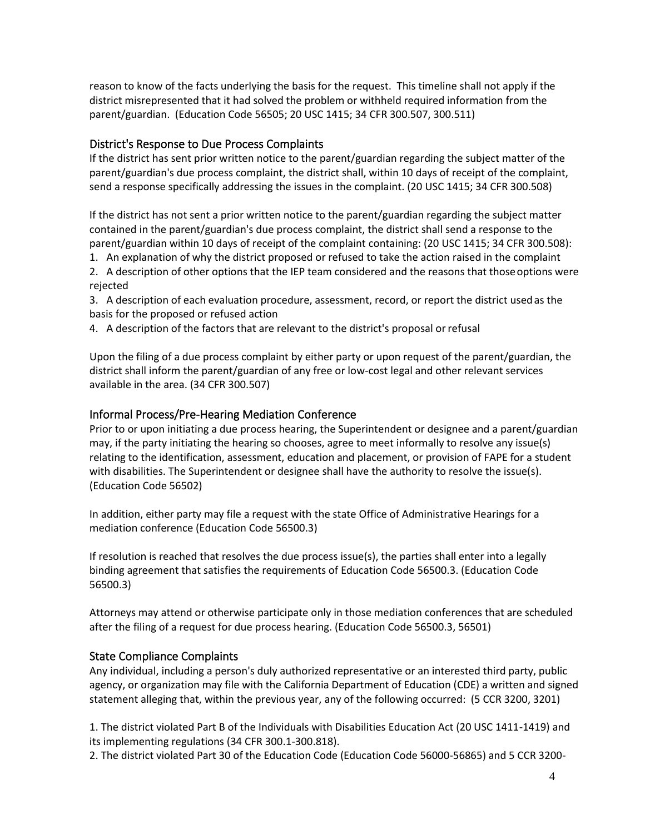reason to know of the facts underlying the basis for the request. This timeline shall not apply if the district misrepresented that it had solved the problem or withheld required information from the parent/guardian. (Education Code 56505; 20 USC 1415; 34 CFR 300.507, 300.511)

## District's Response to Due Process Complaints

If the district has sent prior written notice to the parent/guardian regarding the subject matter of the parent/guardian's due process complaint, the district shall, within 10 days of receipt of the complaint, send a response specifically addressing the issues in the complaint. (20 USC 1415; 34 CFR 300.508)

If the district has not sent a prior written notice to the parent/guardian regarding the subject matter contained in the parent/guardian's due process complaint, the district shall send a response to the parent/guardian within 10 days of receipt of the complaint containing: (20 USC 1415; 34 CFR 300.508):

1. An explanation of why the district proposed or refused to take the action raised in the complaint

2. A description of other options that the IEP team considered and the reasons that thoseoptions were rejected

3. A description of each evaluation procedure, assessment, record, or report the district usedas the basis for the proposed or refused action

4. A description of the factors that are relevant to the district's proposal orrefusal

Upon the filing of a due process complaint by either party or upon request of the parent/guardian, the district shall inform the parent/guardian of any free or low-cost legal and other relevant services available in the area. (34 CFR 300.507)

## Informal Process/Pre-Hearing Mediation Conference

Prior to or upon initiating a due process hearing, the Superintendent or designee and a parent/guardian may, if the party initiating the hearing so chooses, agree to meet informally to resolve any issue(s) relating to the identification, assessment, education and placement, or provision of FAPE for a student with disabilities. The Superintendent or designee shall have the authority to resolve the issue(s). (Education Code 56502)

In addition, either party may file a request with the state Office of Administrative Hearings for a mediation conference (Education Code 56500.3)

If resolution is reached that resolves the due process issue(s), the parties shall enter into a legally binding agreement that satisfies the requirements of Education Code 56500.3. (Education Code 56500.3)

Attorneys may attend or otherwise participate only in those mediation conferences that are scheduled after the filing of a request for due process hearing. (Education Code 56500.3, 56501)

## State Compliance Complaints

Any individual, including a person's duly authorized representative or an interested third party, public agency, or organization may file with the California Department of Education (CDE) a written and signed statement alleging that, within the previous year, any of the following occurred: (5 CCR 3200, 3201)

1. The district violated Part B of the Individuals with Disabilities Education Act (20 USC 1411-1419) and its implementing regulations (34 CFR 300.1-300.818).

2. The district violated Part 30 of the Education Code (Education Code 56000-56865) and 5 CCR 3200-